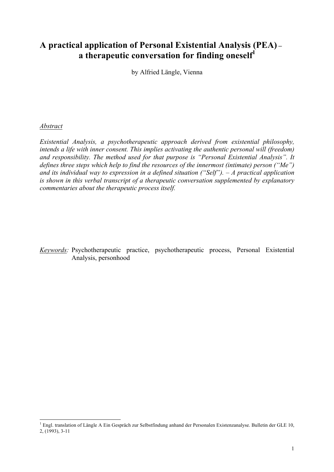## **A practical application of Personal Existential Analysis (PEA) – a therapeutic conversation for finding oneself 1**

by Alfried Längle, Vienna

#### *Abstract*

*Existential Analysis, a psychotherapeutic approach derived from existential philosophy, intends a life with inner consent. This implies activating the authentic personal will (freedom) and responsibility. The method used for that purpose is "Personal Existential Analysis". It defines three steps which help to find the resources of the innermost (intimate) person ("Me") and its individual way to expression in a defined situation ("Self"). – A practical application is shown in this verbal transcript of a therapeutic conversation supplemented by explanatory commentaries about the therapeutic process itself.* 

*Keywords:* Psychotherapeutic practice, psychotherapeutic process, Personal Existential Analysis, personhood

 $1$  Engl. translation of Längle A Ein Gespräch zur Selbstfindung anhand der Personalen Existenzanalyse. Bulletin der GLE 10, 2, (1993), 3-11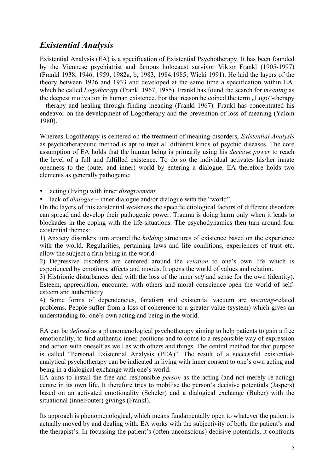# *Existential Analysis*

Existential Analysis (EA) is a specification of Existential Psychotherapy. It has been founded by the Viennese psychiatrist and famous holocaust survivor Viktor Frankl (1905-1997) (Frankl 1938, 1946, 1959, 1982a, b, 1983, 1984,1985; Wicki 1991). He laid the layers of the theory between 1926 and 1933 and developed at the same time a specification within EA, which he called *Logotherapy* (Frankl 1967, 1985). Frankl has found the search for *meaning* as the deepest motivation in human existence. For that reason he coined the term . Logo"-therapy – therapy and healing through finding meaning (Frankl 1967). Frankl has concentrated his endeavor on the development of Logotherapy and the prevention of loss of meaning (Yalom 1980).

Whereas Logotherapy is centered on the treatment of meaning-disorders, *Existential Analysis* as psychotherapeutic method is apt to treat all different kinds of psychic diseases. The core assumption of EA holds that the human being is primarily using his *decisive power* to reach the level of a full and fulfilled existence. To do so the individual activates his/her innate openness to the (outer and inner) world by entering a dialogue. EA therefore holds two elements as generally pathogenic:

• acting (living) with inner *disagreement*

• lack of *dialogue* – inner dialogue and/or dialogue with the "world".

On the layers of this existential weakness the specific etiological factors of different disorders can spread and develop their pathogenic power. Trauma is doing harm only when it leads to blockades in the coping with the life-situations. The psychodynamics then turn around four existential themes:

1) Anxiety disorders turn around the *holding* structures of existence based on the experience with the world. Regularities, pertaining laws and life conditions, experiences of trust etc. allow the subject a firm being in the world.

2) Depressive disorders are centered around the *relation* to one's own life which is experienced by emotions, affects and moods. It opens the world of values and relation.

3) Histrionic disturbances deal with the loss of the inner *self* and sense for the own (identity). Esteem, appreciation, encounter with others and moral conscience open the world of selfesteem and authenticity.

4) Some forms of dependencies, fanatism and existential vacuum are *meaning*-related problems. People suffer from a loss of coherence to a greater value (system) which gives an understanding for one's own acting and being in the world.

EA can be *defined* as a phenomenological psychotherapy aiming to help patients to gain a free emotionality, to find authentic inner positions and to come to a responsible way of expression and action with oneself as well as with others and things. The central method for that purpose is called "Personal Existential Analysis (PEA)". The result of a successful existentialanalytical psychotherapy can be indicated in living with inner consent to one's own acting and being in a dialogical exchange with one's world.

EA aims to install the free and responsible *person* as the acting (and not merely re-acting) centre in its own life. It therefore tries to mobilise the person's decisive potentials (Jaspers) based on an activated emotionality (Scheler) and a dialogical exchange (Buber) with the situational (inner/outer) givings (Frankl).

Its approach is phenomenological, which means fundamentally open to whatever the patient is actually moved by and dealing with. EA works with the subjectivity of both, the patient's and the therapist's. In focussing the patient's (often unconscious) decisive potentials, it confronts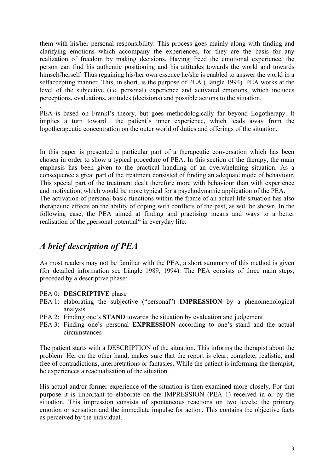them with his/her personal responsibility. This process goes mainly along with finding and clarifying emotions which accompany the experiences, for they are the basis for any realization of freedom by making decisions. Having freed the emotional experience, the person can find his authentic positioning and his attitudes towards the world and towards himself/herself. Thus regaining his/her own essence he/she is enabled to answer the world in a selfaccepting manner. This, in short, is the purpose of PEA (Längle 1994). PEA works at the level of the subjective (i.e. personal) experience and activated emotions, which includes perceptions, evaluations, attitudes (decisions) and possible actions to the situation.

PEA is based on Frankl's theory, but goes methodologically far beyond Logotherapy. It implies a turn toward the patient's inner experience, which leads away from the logotherapeutic concentration on the outer world of duties and offerings of the situation.

In this paper is presented a particular part of a therapeutic conversation which has been chosen in order to show a typical procedure of PEA. In this section of the therapy, the main emphasis has been given to the practical handling of an overwhelming situation. As a consequence a great part of the treatment consisted of finding an adequate mode of behaviour. This special part of the treatment dealt therefore more with behaviour than with experience and motivation, which would be more typical for a psychodynamic application of the PEA. The activation of personal basic functions within the frame of an actual life situation has also therapeutic effects on the ability of coping with conflicts of the past, as will be shown. In the following case, the PEA aimed at finding and practising means and ways to a better realisation of the "personal potential" in everyday life.

## *A brief description of PEA*

.

As most readers may not be familiar with the PEA, a short summary of this method is given (for detailed information see Längle 1989, 1994). The PEA consists of three main steps, preceded by a descriptive phase:

#### PEA 0: **DESCRIPTIVE** phase

- PEA 1: elaborating the subjective ("personal") **IMPRESSION** by a phenomenological analysis
- PEA 2: Finding one's **STAND** towards the situation by evaluation and judgement
- PEA 3: Finding one's personal **EXPRESSION** according to one's stand and the actual circumstances

The patient starts with a DESCRIPTION of the situation. This informs the therapist about the problem. He, on the other hand, makes sure that the report is clear, complete, realistic, and free of contradictions, interpretations or fantasies. While the patient is informing the therapist, he experiences a reactualisation of the situation.

His actual and/or former experience of the situation is then examined more closely. For that purpose it is important to elaborate on the IMPRESSION (PEA 1) received in or by the situation. This impression consists of spontaneous reactions on two levels: the primary emotion or sensation and the immediate impulse for action. This contains the objective facts as perceived by the individual.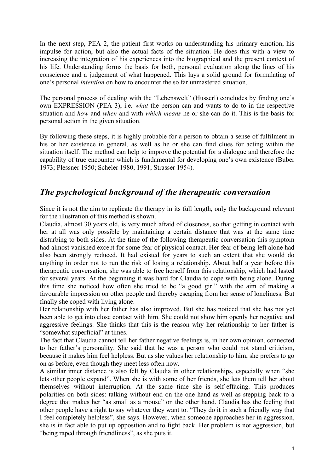In the next step, PEA 2, the patient first works on understanding his primary emotion, his impulse for action, but also the actual facts of the situation. He does this with a view to increasing the integration of his experiences into the biographical and the present context of his life. Understanding forms the basis for both, personal evaluation along the lines of his conscience and a judgement of what happened. This lays a solid ground for formulating of one's personal *intention* on how to encounter the so far unmastered situation.

The personal process of dealing with the "Lebenswelt" (Husserl) concludes by finding one's own EXPRESSION (PEA 3), i.e. *what* the person can and wants to do to in the respective situation and *how* and *when* and with *which means* he or she can do it. This is the basis for personal action in the given situation.

By following these steps, it is highly probable for a person to obtain a sense of fulfilment in his or her existence in general, as well as he or she can find clues for acting within the situation itself. The method can help to improve the potential for a dialogue and therefore the capability of true encounter which is fundamental for developing one's own existence (Buber 1973; Plessner 1950; Scheler 1980, 1991; Strasser 1954).

## *The psychological background of the therapeutic conversation*

Since it is not the aim to replicate the therapy in its full length, only the background relevant for the illustration of this method is shown.

Claudia, almost 30 years old, is very much afraid of closeness, so that getting in contact with her at all was only possible by maintaining a certain distance that was at the same time disturbing to both sides. At the time of the following therapeutic conversation this symptom had almost vanished except for some fear of physical contact. Her fear of being left alone had also been strongly reduced. It had existed for years to such an extent that she would do anything in order not to run the risk of losing a relationship. About half a year before this therapeutic conversation, she was able to free herself from this relationship, which had lasted for several years. At the beginning it was hard for Claudia to cope with being alone. During this time she noticed how often she tried to be "a good girl" with the aim of making a favourable impression on other people and thereby escaping from her sense of loneliness. But finally she coped with living alone.

Her relationship with her father has also improved. But she has noticed that she has not yet been able to get into close contact with him. She could not show him openly her negative and aggressive feelings. She thinks that this is the reason why her relationship to her father is "somewhat superficial" at times.

The fact that Claudia cannot tell her father negative feelings is, in her own opinion, connected to her father's personality. She said that he was a person who could not stand criticism, because it makes him feel helpless. But as she values her relationship to him, she prefers to go on as before, even though they meet less often now.

A similar inner distance is also felt by Claudia in other relationships, especially when "she lets other people expand". When she is with some of her friends, she lets them tell her about themselves without interruption. At the same time she is self-effacing. This produces polarities on both sides: talking without end on the one hand as well as stepping back to a degree that makes her "as small as a mouse" on the other hand. Claudia has the feeling that other people have a right to say whatever they want to. "They do it in such a friendly way that I feel completely helpless", she says. However, when someone approaches her in aggression, she is in fact able to put up opposition and to fight back. Her problem is not aggression, but "being raped through friendliness", as she puts it.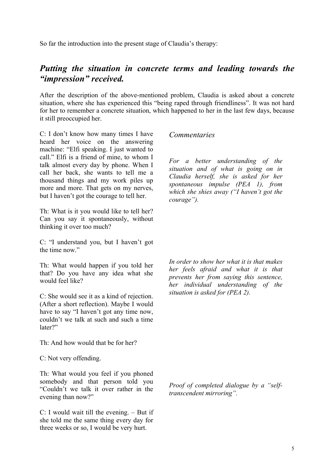So far the introduction into the present stage of Claudia's therapy:

## *Putting the situation in concrete terms and leading towards the "impression" received.*

After the description of the above-mentioned problem, Claudia is asked about a concrete situation, where she has experienced this "being raped through friendliness". It was not hard for her to remember a concrete situation, which happened to her in the last few days, because it still preoccupied her.

C: I don't know how many times I have heard her voice on the answering machine: "Elfi speaking. I just wanted to call." Elfi is a friend of mine, to whom I talk almost every day by phone. When I call her back, she wants to tell me a thousand things and my work piles up more and more. That gets on my nerves, but I haven't got the courage to tell her.

Th: What is it you would like to tell her? Can you say it spontaneously, without thinking it over too much?

C: "I understand you, but I haven't got the time now"

Th: What would happen if you told her that? Do you have any idea what she would feel like?

C: She would see it as a kind of rejection. (After a short reflection). Maybe I would have to say "I haven't got any time now, couldn't we talk at such and such a time later?"

Th: And how would that be for her?

C: Not very offending.

Th: What would you feel if you phoned somebody and that person told you "Couldn't we talk it over rather in the evening than now?"

C: I would wait till the evening. – But if she told me the same thing every day for three weeks or so, I would be very hurt.

### *Commentaries*

*For a better understanding of the situation and of what is going on in Claudia herself, she is asked for her spontaneous impulse (PEA 1), from which she shies away ("I haven't got the courage").*

*In order to show her what it is that makes her feels afraid and what it is that prevents her from saying this sentence, her individual understanding of the situation is asked for (PEA 2).*

*Proof of completed dialogue by a "selftranscendent mirroring".*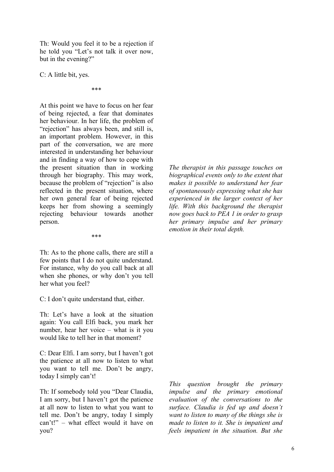Th: Would you feel it to be a rejection if he told you "Let's not talk it over now, but in the evening?"

C: A little bit, yes.

\*\*\*

At this point we have to focus on her fear of being rejected, a fear that dominates her behaviour. In her life, the problem of "rejection" has always been, and still is, an important problem. However, in this part of the conversation, we are more interested in understanding her behaviour and in finding a way of how to cope with the present situation than in working through her biography. This may work, because the problem of "rejection" is also reflected in the present situation, where her own general fear of being rejected keeps her from showing a seemingly rejecting behaviour towards another person.

\*\*\*

Th: As to the phone calls, there are still a few points that I do not quite understand. For instance, why do you call back at all when she phones, or why don't you tell her what you feel?

C: I don't quite understand that, either.

Th: Let's have a look at the situation again: You call Elfi back, you mark her number, hear her voice – what is it you would like to tell her in that moment?

C: Dear Elfi. I am sorry, but I haven't got the patience at all now to listen to what you want to tell me. Don't be angry, today I simply can't!

Th: If somebody told you "Dear Claudia, I am sorry, but I haven't got the patience at all now to listen to what you want to tell me. Don't be angry, today I simply can't!" – what effect would it have on you?

*The therapist in this passage touches on biographical events only to the extent that makes it possible to understand her fear of spontaneously expressing what she has experienced in the larger context of her life. With this background the therapist now goes back to PEA 1 in order to grasp her primary impulse and her primary emotion in their total depth.*

*This question brought the primary impulse and the primary emotional evaluation of the conversations to the surface. Claudia is fed up and doesn't want to listen to many of the things she is made to listen to it. She is impatient and feels impatient in the situation. But she*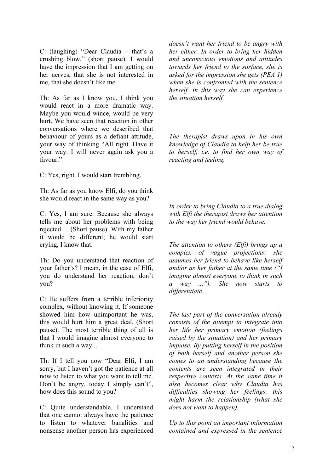C: (laughing) "Dear Claudia – that's a crushing blow." (short pause). I would have the impression that I am getting on her nerves, that she is not interested in me, that she doesn't like me.

Th: As far as I know you, I think you would react in a more dramatic way. Maybe you would wince, would be very hurt. We have seen that reaction in other conversations where we described that behaviour of yours as a defiant attitude, your way of thinking "All right. Have it your way. I will never again ask you a favour."

C: Yes, right. I would start trembling.

Th: As far as you know Elfi, do you think she would react in the same way as you?

C: Yes, I am sure. Because she always tells me about her problems with being rejected ... (Short pause). With my father it would be different; he would start crying, I know that.

Th: Do you understand that reaction of your father's? I mean, in the case of Elfi, you do understand her reaction, don't you?

C: He suffers from a terrible inferiority complex, without knowing it. If someone showed him how unimportant he was, this would hurt him a great deal. (Short pause). The most terrible thing of all is that I would imagine almost everyone to think in such a way ...

Th: If I tell you now "Dear Elfi, I am sorry, but I haven't got the patience at all now to listen to what you want to tell me. Don't be angry, today I simply can't", how does this sound to you?

C: Quite understandable. I understand that one cannot always have the patience to listen to whatever banalities and nonsense another person has experienced *doesn't want her friend to be angry with her either. In order to bring her hidden and unconscious emotions and attitudes towards her friend to the surface, she is asked for the impression she gets (PEA 1) when she is confronted with the sentence herself. In this way she can experience the situation herself.*

*The therapist draws upon in his own knowledge of Claudia to help her be true to herself, i.e. to find her own way of reacting and feeling.*

*In order to bring Claudia to a true dialog with Elfi the therapist draws her attention to the way her friend would behave.* 

*The attention to others (Elfi) brings up a complex of vague projections: she assumes her friend to behave like herself and/or as her father at the same time ("I imagine almost everyone to think in such a way ..."). She now starts to differentiate.* 

*The last part of the conversation already consists of the attempt to integrate into her life her primary emotion (feelings raised by the situation) and her primary impulse. By putting herself in the position of both herself and another person she comes to an understanding because the contents are seen integrated in their respective contexts. At the same time it also becomes clear why Claudia has difficulties showing her feelings: this might harm the relationship (what she does not want to happen).*

*Up to this point an important information contained and expressed in the sentence*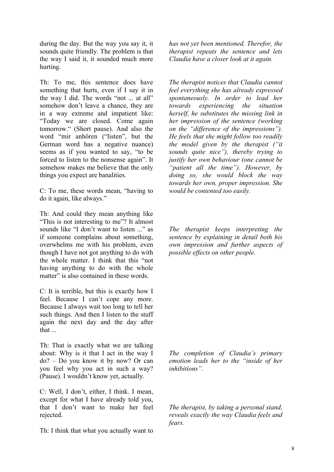during the day. But the way you say it, it sounds quite friendly. The problem is that the way I said it, it sounded much more hurting.

Th: To me, this sentence does have something that hurts, even if I say it in the way I did. The words "not ... at all" somehow don't leave a chance, they are in a way extreme and impatient like: "Today we are closed. Come again tomorrow." (Short pause). And also the word "mir anhören ("listen", but the German word has a negative nuance) seems as if you wanted to say, "to be forced to listen to the nonsense again". It somehow makes me believe that the only things you expect are banalities.

C: To me, these words mean, "having to do it again, like always."

Th: And could they mean anything like "This is not interesting to me"? It almost sounds like "I don't want to listen ..." as if someone complains about something, overwhelms me with his problem, even though I have not got anything to do with the whole matter. I think that this "not having anything to do with the whole matter" is also contained in these words.

C: It is terrible, but this is exactly how I feel. Because I can't cope any more. Because I always wait too long to tell her such things. And then I listen to the stuff again the next day and the day after that ...

Th: That is exactly what we are talking about: Why is it that I act in the way I do? – Do you know it by now? Or can you feel why you act in such a way? (Pause). I wouldn't know yet, actually.

C: Well, I don't, either, I think. I mean, except for what I have already told you, that I don't want to make her feel rejected.

Th: I think that what you actually want to

*has not yet been mentioned. Therefor, the therapist repeats the sentence and lets Claudia have a closer look at it again.*

*The therapist notices that Claudia cannot feel everything she has already expressed spontaneously. In order to lead her towards experiencing the situation herself, he substitutes the missing link in her impression of the sentence (working on the "difference of the impressions"). He feels that she might follow too readily the model given by the therapist ("it sounds quite nice"), thereby trying to justify her own behaviour (one cannot be "patient all the time"). However, by doing so, she would block the way towards her own, proper impression. She would be contented too easily.*

*The therapist keeps interpreting the sentence by explaining in detail both his own impression and further aspects of possible effects on other people.*

*The completion of Claudia's primary emotion leads her to the "inside of her inhibitions".*

*The therapist, by taking a personal stand, reveals exactly the way Claudia feels and fears.*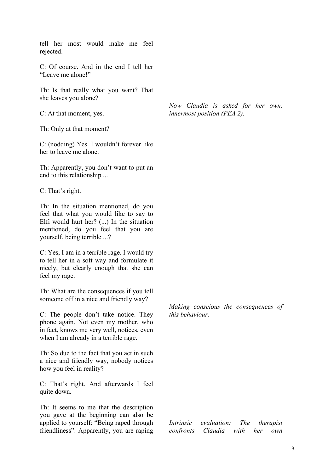tell her most would make me feel rejected.

C: Of course. And in the end I tell her "Leave me alone!"

Th: Is that really what you want? That she leaves you alone?

C: At that moment, yes.

Th: Only at that moment?

C: (nodding) Yes. I wouldn't forever like her to leave me alone.

Th: Apparently, you don't want to put an end to this relationship ...

C: That's right.

Th: In the situation mentioned, do you feel that what you would like to say to Elfi would hurt her? (...) In the situation mentioned, do you feel that you are yourself, being terrible ...?

C: Yes, I am in a terrible rage. I would try to tell her in a soft way and formulate it nicely, but clearly enough that she can feel my rage.

Th: What are the consequences if you tell someone off in a nice and friendly way?

C: The people don't take notice. They phone again. Not even my mother, who in fact, knows me very well, notices, even when I am already in a terrible rage.

Th: So due to the fact that you act in such a nice and friendly way, nobody notices how you feel in reality?

C: That's right. And afterwards I feel quite down.

Th: It seems to me that the description you gave at the beginning can also be applied to yourself: "Being raped through friendliness". Apparently, you are raping *Now Claudia is asked for her own, innermost position (PEA 2).*

*Making conscious the consequences of this behaviour.* 

*Intrinsic evaluation: The therapist confronts Claudia with her own*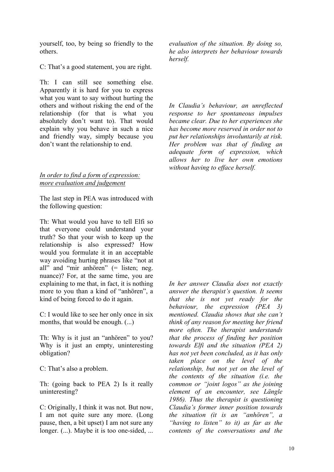yourself, too, by being so friendly to the others.

C: That's a good statement, you are right.

Th: I can still see something else. Apparently it is hard for you to express what you want to say without hurting the others and without risking the end of the relationship (for that is what you absolutely don't want to). That would explain why you behave in such a nice and friendly way, simply because you don't want the relationship to end.

#### *In order to find a form of expression: more evaluation and judgement*

The last step in PEA was introduced with the following question:

Th: What would you have to tell Elfi so that everyone could understand your truth? So that your wish to keep up the relationship is also expressed? How would you formulate it in an acceptable way avoiding hurting phrases like "not at all" and "mir anhören" (= listen; neg. nuance)? For, at the same time, you are explaining to me that, in fact, it is nothing more to you than a kind of "anhören", a kind of being forced to do it again.

C: I would like to see her only once in six months, that would be enough. (...)

Th: Why is it just an "anhören" to you? Why is it just an empty, uninteresting obligation?

C: That's also a problem.

Th: (going back to PEA 2) Is it really uninteresting?

C: Originally, I think it was not. But now, I am not quite sure any more. (Long pause, then, a bit upset) I am not sure any longer. (...). Maybe it is too one-sided, ... *evaluation of the situation. By doing so, he also interprets her behaviour towards herself.*

*In Claudia's behaviour, an unreflected response to her spontaneous impulses became clear. Due to her experiences she has become more reserved in order not to put her relationships involuntarily at risk. Her problem was that of finding an adequate form of expression, which allows her to live her own emotions without having to efface herself.*

*In her answer Claudia does not exactly answer the therapist's question. It seems that she is not yet ready for the behaviour, the expression (PEA 3) mentioned. Claudia shows that she can't think of any reason for meeting her friend more often. The therapist understands that the process of finding her position towards Elfi and the situation (PEA 2) has not yet been concluded, as it has only taken place on the level of the relationship, but not yet on the level of the contents of the situation (i.e. the common or "joint logos" as the joining element of an encounter, see Längle 1986). Thus the therapist is questioning Claudia's former inner position towards the situation (it is an "anhören", a "having to listen" to it) as far as the contents of the conversations and the*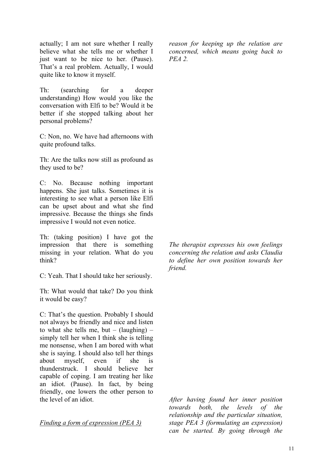actually; I am not sure whether I really believe what she tells me or whether I just want to be nice to her. (Pause). That's a real problem. Actually, I would quite like to know it myself.

Th: (searching for a deeper understanding) How would you like the conversation with Elfi to be? Would it be better if she stopped talking about her personal problems?

C: Non, no. We have had afternoons with quite profound talks.

Th: Are the talks now still as profound as they used to be?

C: No. Because nothing important happens. She just talks. Sometimes it is interesting to see what a person like Elfi can be upset about and what she find impressive. Because the things she finds impressive I would not even notice.

Th: (taking position) I have got the impression that there is something missing in your relation. What do you think?

C: Yeah. That I should take her seriously.

Th: What would that take? Do you think it would be easy?

C: That's the question. Probably I should not always be friendly and nice and listen to what she tells me, but –  $(laughing)$  – simply tell her when I think she is telling me nonsense, when I am bored with what she is saying. I should also tell her things about myself, even if she is thunderstruck. I should believe her capable of coping. I am treating her like an idiot. (Pause). In fact, by being friendly, one lowers the other person to the level of an idiot.

*Finding a form of expression (PEA 3)*

*reason for keeping up the relation are concerned, which means going back to PEA 2.*

*The therapist expresses his own feelings concerning the relation and asks Claudia to define her own position towards her friend.*

*After having found her inner position towards both, the levels of the relationship and the particular situation, stage PEA 3 (formulating an expression) can be started. By going through the*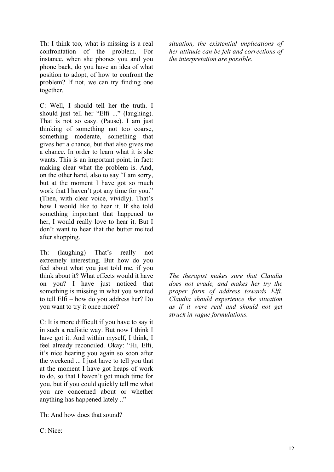Th: I think too, what is missing is a real confrontation of the problem. For instance, when she phones you and you phone back, do you have an idea of what position to adopt, of how to confront the problem? If not, we can try finding one together.

C: Well, I should tell her the truth. I should just tell her "Elfi ..." (laughing). That is not so easy. (Pause). I am just thinking of something not too coarse, something moderate, something that gives her a chance, but that also gives me a chance. In order to learn what it is she wants. This is an important point, in fact: making clear what the problem is. And, on the other hand, also to say "I am sorry, but at the moment I have got so much work that I haven't got any time for you." (Then, with clear voice, vividly). That's how I would like to hear it. If she told something important that happened to her, I would really love to hear it. But I don't want to hear that the butter melted after shopping.

Th: (laughing) That's really not extremely interesting. But how do you feel about what you just told me, if you think about it? What effects would it have on you? I have just noticed that something is missing in what you wanted to tell Elfi – how do you address her? Do you want to try it once more?

C: It is more difficult if you have to say it in such a realistic way. But now I think I have got it. And within myself, I think, I feel already reconciled. Okay: "Hi, Elfi, it's nice hearing you again so soon after the weekend ... I just have to tell you that at the moment I have got heaps of work to do, so that I haven't got much time for you, but if you could quickly tell me what you are concerned about or whether anything has happened lately .."

Th: And how does that sound?

*situation, the existential implications of her attitude can be felt and corrections of the interpretation are possible.*

*The therapist makes sure that Claudia does not evade, and makes her try the proper form of address towards Elfi. Claudia should experience the situation as if it were real and should not get struck in vague formulations.*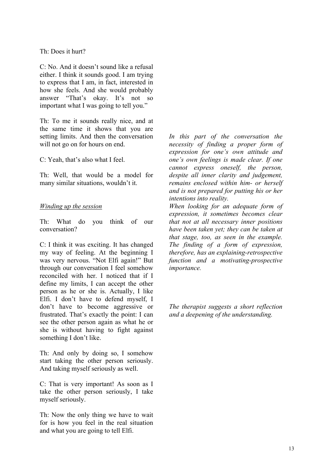#### Th: Does it hurt?

C: No. And it doesn't sound like a refusal either. I think it sounds good. I am trying to express that I am, in fact, interested in how she feels. And she would probably answer "That's okay. It's not so important what I was going to tell you."

Th: To me it sounds really nice, and at the same time it shows that you are setting limits. And then the conversation will not go on for hours on end.

C: Yeah, that's also what I feel.

Th: Well, that would be a model for many similar situations, wouldn't it.

#### *Winding up the session*

Th: What do you think of our conversation?

C: I think it was exciting. It has changed my way of feeling. At the beginning I was very nervous. "Not Elfi again!" But through our conversation I feel somehow reconciled with her. I noticed that if I define my limits, I can accept the other person as he or she is. Actually, I like Elfi. I don't have to defend myself, I don't have to become aggressive or frustrated. That's exactly the point: I can see the other person again as what he or she is without having to fight against something I don't like.

Th: And only by doing so, I somehow start taking the other person seriously. And taking myself seriously as well.

C: That is very important! As soon as I take the other person seriously, I take myself seriously.

Th: Now the only thing we have to wait for is how you feel in the real situation and what you are going to tell Elfi.

*In this part of the conversation the necessity of finding a proper form of expression for one's own attitude and one's own feelings is made clear. If one cannot express oneself, the person, despite all inner clarity and judgement, remains enclosed within him- or herself and is not prepared for putting his or her intentions into reality.*

*When looking for an adequate form of expression, it sometimes becomes clear that not at all necessary inner positions have been taken yet; they can be taken at that stage, too, as seen in the example. The finding of a form of expression, therefore, has an explaining-retrospective function and a motivating-prospective importance.*

*The therapist suggests a short reflection and a deepening of the understanding.*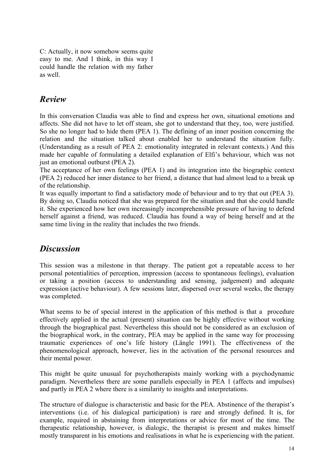C: Actually, it now somehow seems quite easy to me. And I think, in this way I could handle the relation with my father as well.

### *Review*

In this conversation Claudia was able to find and express her own, situational emotions and affects. She did not have to let off steam, she got to understand that they, too, were justified. So she no longer had to hide them (PEA 1). The defining of an inner position concerning the relation and the situation talked about enabled her to understand the situation fully. (Understanding as a result of PEA 2: emotionality integrated in relevant contexts.) And this made her capable of formulating a detailed explanation of Elfi's behaviour, which was not just an emotional outburst (PEA 2).

The acceptance of her own feelings (PEA 1) and its integration into the biographic context (PEA 2) reduced her inner distance to her friend, a distance that had almost lead to a break up of the relationship.

It was equally important to find a satisfactory mode of behaviour and to try that out (PEA 3). By doing so, Claudia noticed that she was prepared for the situation and that she could handle it. She experienced how her own increasingly incomprehensible pressure of having to defend herself against a friend, was reduced. Claudia has found a way of being herself and at the same time living in the reality that includes the two friends.

## *Discussion*

This session was a milestone in that therapy. The patient got a repeatable access to her personal potentialities of perception, impression (access to spontaneous feelings), evaluation or taking a position (access to understanding and sensing, judgement) and adequate expression (active behaviour). A few sessions later, dispersed over several weeks, the therapy was completed.

What seems to be of special interest in the application of this method is that a procedure effectively applied in the actual (present) situation can be highly effective without working through the biographical past. Nevertheless this should not be considered as an exclusion of the biographical work, in the contrary, PEA may be applied in the same way for processing traumatic experiences of one's life history (Längle 1991). The effectiveness of the phenomenological approach, however, lies in the activation of the personal resources and their mental power.

This might be quite unusual for psychotherapists mainly working with a psychodynamic paradigm. Nevertheless there are some parallels especially in PEA 1 (affects and impulses) and partly in PEA 2 where there is a similarity to insights and interpretations.

The structure of dialogue is characteristic and basic for the PEA. Abstinence of the therapist's interventions (i.e. of his dialogical participation) is rare and strongly defined. It is, for example, required in abstaining from interpretations or advice for most of the time. The therapeutic relationship, however, is dialogic, the therapist is present and makes himself mostly transparent in his emotions and realisations in what he is experiencing with the patient.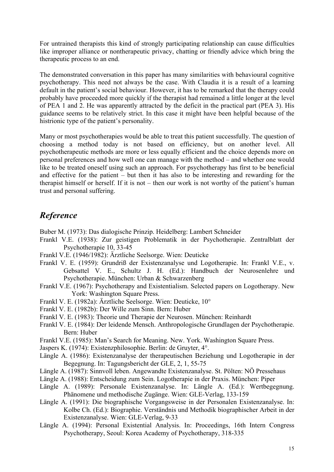For untrained therapists this kind of strongly participating relationship can cause difficulties like improper alliance or nontherapeutic privacy, chatting or friendly advice which bring the therapeutic process to an end.

The demonstrated conversation in this paper has many similarities with behavioural cognitive psychotherapy. This need not always be the case. With Claudia it is a result of a learning default in the patient's social behaviour. However, it has to be remarked that the therapy could probably have proceeded more quickly if the therapist had remained a little longer at the level of PEA 1 and 2. He was apparently attracted by the deficit in the practical part (PEA 3). His guidance seems to be relatively strict. In this case it might have been helpful because of the histrionic type of the patient's personality.

Many or most psychotherapies would be able to treat this patient successfully. The question of choosing a method today is not based on efficiency, but on another level. All psychotherapeutic methods are more or less equally efficient and the choice depends more on personal preferences and how well one can manage with the method – and whether one would like to be treated oneself using such an approach. For psychotherapy has first to be beneficial and effective for the patient – but then it has also to be interesting and rewarding for the therapist himself or herself. If it is not – then our work is not worthy of the patient's human trust and personal suffering.

## *Reference*

Buber M. (1973): Das dialogische Prinzip. Heidelberg: Lambert Schneider

- Frankl V.E. (1938): Zur geistigen Problematik in der Psychotherapie. Zentralblatt der Psychotherapie 10, 33-45
- Frankl V.E. (1946/1982): Ärztliche Seelsorge. Wien: Deuticke
- Frankl V. E. (1959): Grundriß der Existenzanalyse und Logotherapie. In: Frankl V.E., v. Gebsattel V. E., Schultz J. H. (Ed.): Handbuch der Neurosenlehre und Psychotherapie. München: Urban & Schwarzenberg
- Frankl V.E. (1967): Psychotherapy and Existentialism. Selected papers on Logotherapy. New York: Washington Square Press.
- Frankl V. E. (1982a): Ärztliche Seelsorge. Wien: Deuticke, 10°
- Frankl V. E. (1982b): Der Wille zum Sinn. Bern: Huber
- Frankl V. E. (1983): Theorie und Therapie der Neurosen. München: Reinhardt
- Frankl V. E. (1984): Der leidende Mensch. Anthropologische Grundlagen der Psychotherapie. Bern: Huber
- Frankl V.E. (1985): Man's Search for Meaning. New. York. Washington Square Press.
- Jaspers K. (1974): Existenzphilosophie. Berlin: de Gruyter, 4°.
- Längle A. (1986): Existenzanalyse der therapeutischen Beziehung und Logotherapie in der Begegnung. In: Tagungsbericht der GLE, 2, 1, 55-75
- Längle A. (1987): Sinnvoll leben. Angewandte Existenzanalyse. St. Pölten: NÖ Pressehaus
- Längle A. (1988): Entscheidung zum Sein. Logotherapie in der Praxis. München: Piper
- Längle A. (1989): Personale Existenzanalyse. In: Längle A. (Ed.): Wertbegegnung. Phänomene und methodische Zugänge. Wien: GLE-Verlag, 133-159
- Längle A. (1991): Die biographische Vorgangsweise in der Personalen Existenzanalyse. In: Kolbe Ch. (Ed.): Biographie. Verständnis und Methodik biographischer Arbeit in der Existenzanalyse. Wien: GLE-Verlag, 9-33
- Längle A. (1994): Personal Existential Analysis. In: Proceedings, 16th Intern Congress Psychotherapy, Seoul: Korea Academy of Psychotherapy, 318-335